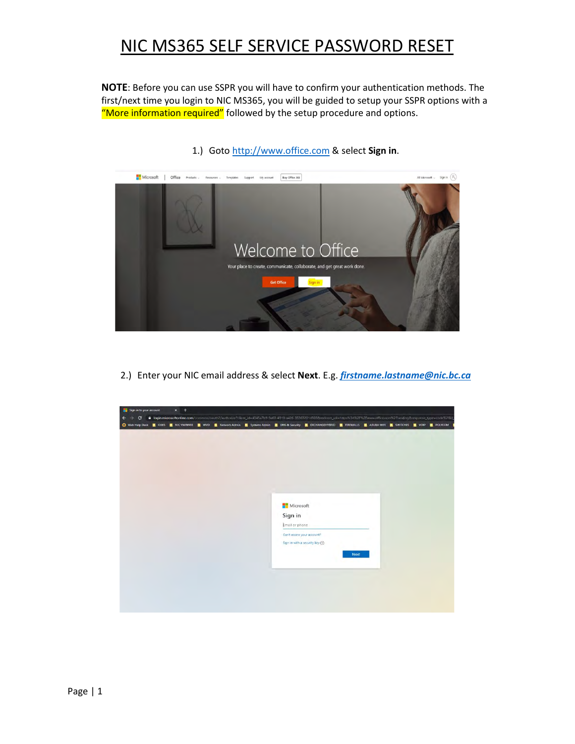**NOTE**: Before you can use SSPR you will have to confirm your authentication methods. The first/next time you login to NIC MS365, you will be guided to setup your SSPR options with a "More information required" followed by the setup procedure and options.



#### 1.) Goto [http://www.office.com](http://www.office.com/) & select **Sign in**.

2.) Enter your NIC email address & select **Next**. E.g. *[firstname.lastname@nic.bc.ca](mailto:firstname.lastname@nic.bc.ca)*

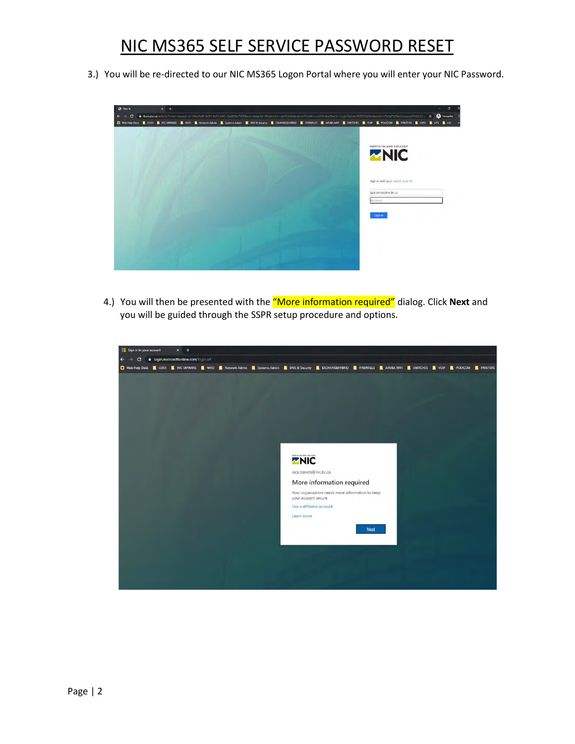3.) You will be re-directed to our NIC MS365 Logon Portal where you will enter your NIC Password.



4.) You will then be presented with the "More information required" dialog. Click **Next** and you will be guided through the SSPR setup procedure and options.

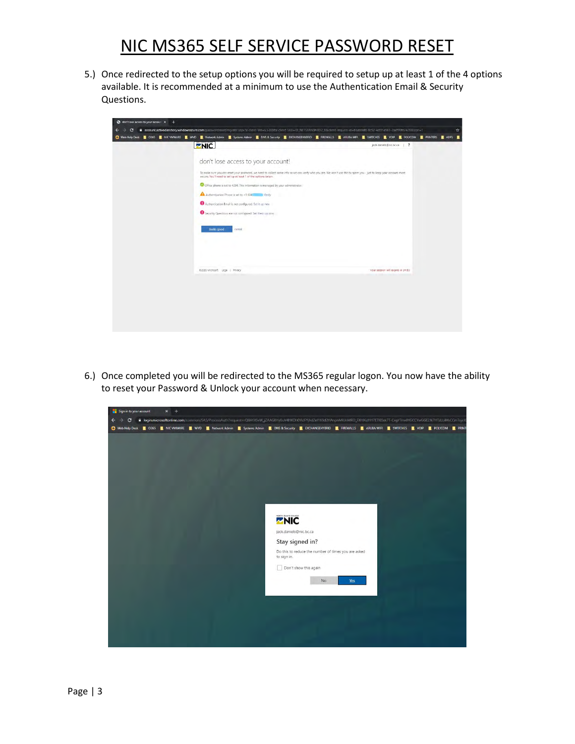5.) Once redirected to the setup options you will be required to setup up at least 1 of the 4 options available. It is recommended at a minimum to use the Authentication Email & Security Questions.

|                                                                                                                                                                                                                                       | C Web Help Desk <b>B</b> 0365 M NIC VMWARE WO B Network Admin B Systems Admin B DNS & Security B EXCHANGEHYBRID B FIREWALLS B ARUBA WIFI B SWITCHES B VOIP B POLYCOM B PRINTERS B ADFS B |  |
|---------------------------------------------------------------------------------------------------------------------------------------------------------------------------------------------------------------------------------------|------------------------------------------------------------------------------------------------------------------------------------------------------------------------------------------|--|
| <b>ZNIC</b>                                                                                                                                                                                                                           | jack.daniels@nic.bc.ca   ?                                                                                                                                                               |  |
| don't lose access to your account!                                                                                                                                                                                                    |                                                                                                                                                                                          |  |
| To make sure you can reset your password, we need to collect some info so we can verify who you are. We won't use this to spam you - just to keep your account more<br>secure. You'll need to set up at least 1 of the options below. |                                                                                                                                                                                          |  |
| Office phone is set to 4294. This information is managed by your administrator.                                                                                                                                                       |                                                                                                                                                                                          |  |
| Authentication Phone is set to +1 604                                                                                                                                                                                                 |                                                                                                                                                                                          |  |
| Authentication Email is not configured. Set it up now                                                                                                                                                                                 |                                                                                                                                                                                          |  |
| Security Questions are not configured. Set them up now                                                                                                                                                                                |                                                                                                                                                                                          |  |
| looks good<br>cancel                                                                                                                                                                                                                  |                                                                                                                                                                                          |  |
| @2020 Microsoft Legal   Privacy                                                                                                                                                                                                       | Your seasten will expire in 14:53                                                                                                                                                        |  |
|                                                                                                                                                                                                                                       |                                                                                                                                                                                          |  |
|                                                                                                                                                                                                                                       |                                                                                                                                                                                          |  |
|                                                                                                                                                                                                                                       |                                                                                                                                                                                          |  |
|                                                                                                                                                                                                                                       |                                                                                                                                                                                          |  |

6.) Once completed you will be redirected to the MS365 regular logon. You now have the ability to reset your Password & Unlock your account when necessary.

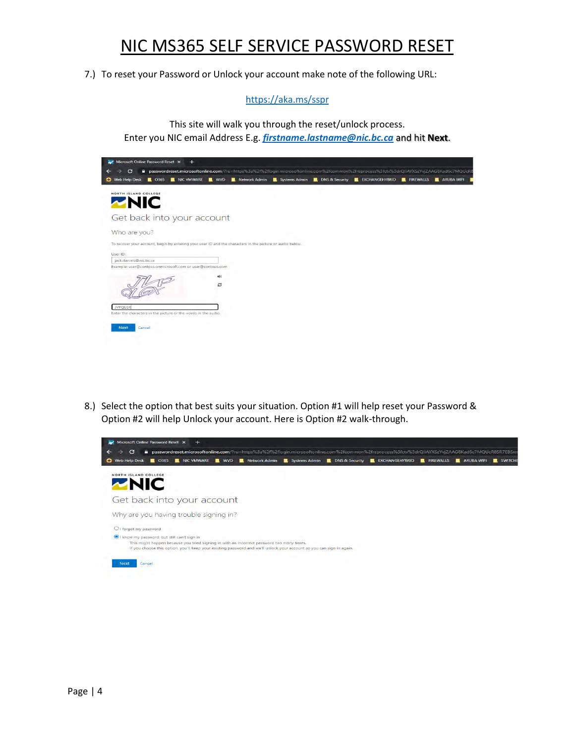7.) To reset your Password or Unlock your account make note of the following URL:

<https://aka.ms/sspr>

This site will walk you through the reset/unlock process. Enter you NIC email Address E.g. *[firstname.lastname@nic.bc.ca](mailto:firstname.lastname@nic.bc.ca)* and hit **Next**.

| <b>C</b> Web Help Desk              | $\Box$ 0365 | NIC VMWARE                                                     | $\blacksquare$ wvp |                                                                                                           |  | <b>R</b> Network Admin <b>R</b> Systems Admin <b>R</b> DNS & Security <b>R</b> EXCHANGEHYBRID | <b>EL FIREWALLS</b> | ARUBA WIFI |
|-------------------------------------|-------------|----------------------------------------------------------------|--------------------|-----------------------------------------------------------------------------------------------------------|--|-----------------------------------------------------------------------------------------------|---------------------|------------|
|                                     |             |                                                                |                    |                                                                                                           |  |                                                                                               |                     |            |
| NORTH ISLAND COLLEGE<br><b>ZNIC</b> |             |                                                                |                    |                                                                                                           |  |                                                                                               |                     |            |
|                                     |             |                                                                |                    |                                                                                                           |  |                                                                                               |                     |            |
|                                     |             | Get back into your account                                     |                    |                                                                                                           |  |                                                                                               |                     |            |
|                                     |             |                                                                |                    |                                                                                                           |  |                                                                                               |                     |            |
| Who are you?                        |             |                                                                |                    |                                                                                                           |  |                                                                                               |                     |            |
|                                     |             |                                                                |                    | To recover your account, begin by entering your user ID and the characters in the picture or audio below. |  |                                                                                               |                     |            |
| User ID:                            |             |                                                                |                    |                                                                                                           |  |                                                                                               |                     |            |
| jack.daniels@nic.bc.ca              |             |                                                                |                    |                                                                                                           |  |                                                                                               |                     |            |
|                                     |             | Example: user@contoso.onmicrosoft.com or user@contoso.com      |                    |                                                                                                           |  |                                                                                               |                     |            |
|                                     |             |                                                                | ajd.               |                                                                                                           |  |                                                                                               |                     |            |
|                                     |             |                                                                | c                  |                                                                                                           |  |                                                                                               |                     |            |
|                                     |             |                                                                |                    |                                                                                                           |  |                                                                                               |                     |            |
|                                     |             |                                                                |                    |                                                                                                           |  |                                                                                               |                     |            |
|                                     |             |                                                                |                    |                                                                                                           |  |                                                                                               |                     |            |
| <b>JVPQLGX</b>                      |             | Enter the characters in the picture or the words in the audio. |                    |                                                                                                           |  |                                                                                               |                     |            |

8.) Select the option that best suits your situation. Option #1 will help reset your Password & Option #2 will help Unlock your account. Here is Option #2 walk-through.

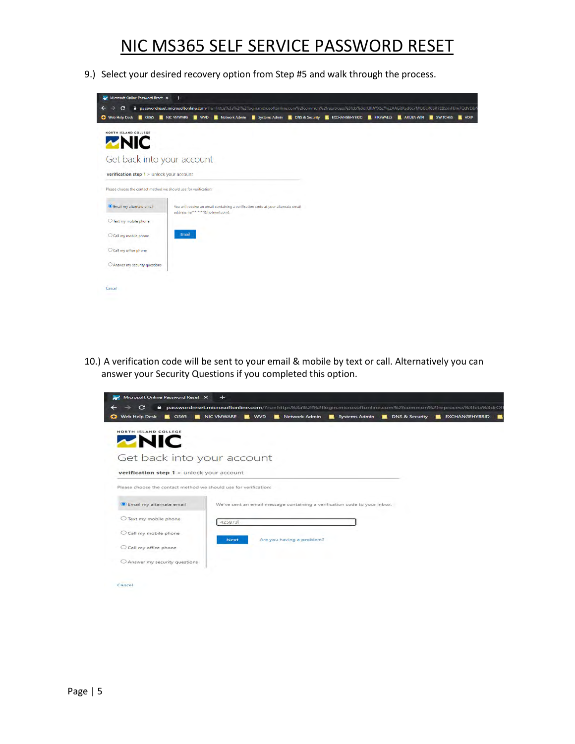9.) Select your desired recovery option from Step #5 and walk through the process.

| NORTH ISLAND COLLEGE                                             |                                   |                                                                                  |  |  |  |  |
|------------------------------------------------------------------|-----------------------------------|----------------------------------------------------------------------------------|--|--|--|--|
| <b>ZNIC</b>                                                      |                                   |                                                                                  |  |  |  |  |
| Get back into your account                                       |                                   |                                                                                  |  |  |  |  |
| verification step 1 > unlock your account                        |                                   |                                                                                  |  |  |  |  |
| Please choose the contact method we should use for verification: |                                   |                                                                                  |  |  |  |  |
| Email my alternate email                                         |                                   | You will receive an email containing a verification code at your alternate email |  |  |  |  |
|                                                                  |                                   |                                                                                  |  |  |  |  |
| ○ Text my mobile phone                                           | address (ja********@hotmail.com). |                                                                                  |  |  |  |  |
| Call my mobile phone                                             | Email                             |                                                                                  |  |  |  |  |
| O Call my office phone                                           |                                   |                                                                                  |  |  |  |  |

10.) A verification code will be sent to your email & mobile by text or call. Alternatively you can answer your Security Questions if you completed this option.

| <b>Web Help Desk</b><br>O365<br>$\blacksquare$<br><b>COLUM</b>   | <b>NIC VMWARE</b> | -<br>WVD | <b>Network Admin</b>                                                      | Systems Admin | <b>DNS &amp; Security</b> | <b>EXCHANGEHYBRID</b><br>$\overline{\phantom{a}}$ |
|------------------------------------------------------------------|-------------------|----------|---------------------------------------------------------------------------|---------------|---------------------------|---------------------------------------------------|
| NORTH ISLAND COLLEGE                                             |                   |          |                                                                           |               |                           |                                                   |
| <b>ZNIC</b>                                                      |                   |          |                                                                           |               |                           |                                                   |
| Get back into your account                                       |                   |          |                                                                           |               |                           |                                                   |
| verification step 1 > unlock your account                        |                   |          |                                                                           |               |                           |                                                   |
| Please choose the contact method we should use for verification: |                   |          |                                                                           |               |                           |                                                   |
| Email my alternate email                                         |                   |          | We've sent an email message containing a verification code to your inbox. |               |                           |                                                   |
| O Text my mobile phone                                           | 425873            |          |                                                                           |               |                           |                                                   |
| O Call my mobile phone                                           |                   |          |                                                                           |               |                           |                                                   |
| C Call my office phone                                           | <b>Next</b>       |          | Are you having a problem?                                                 |               |                           |                                                   |
| O Answer my security questions.                                  |                   |          |                                                                           |               |                           |                                                   |
|                                                                  |                   |          |                                                                           |               |                           |                                                   |
| Cancel                                                           |                   |          |                                                                           |               |                           |                                                   |